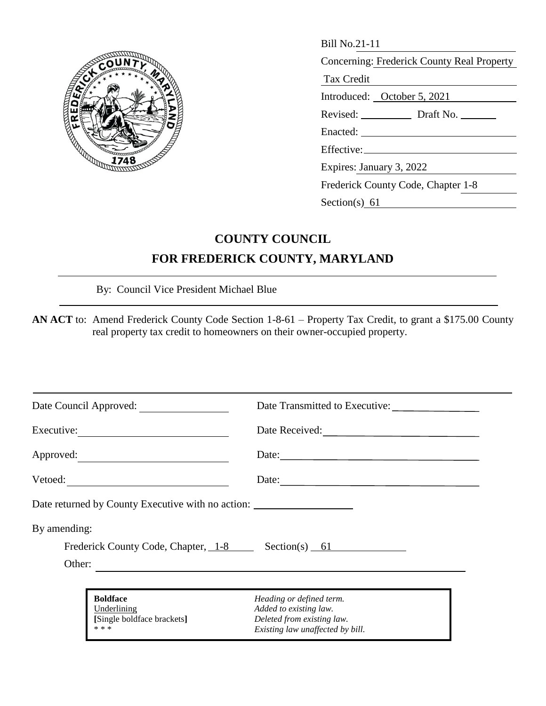

| <b>RADIT</b><br>748 | <b>Bill No.21-11</b>                                                                                                                                                                                                           |
|---------------------|--------------------------------------------------------------------------------------------------------------------------------------------------------------------------------------------------------------------------------|
|                     | Concerning: Frederick County Real Property                                                                                                                                                                                     |
|                     | Tax Credit                                                                                                                                                                                                                     |
|                     | Introduced: October 5, 2021                                                                                                                                                                                                    |
|                     |                                                                                                                                                                                                                                |
|                     | Enacted: The contract of the contract of the contract of the contract of the contract of the contract of the contract of the contract of the contract of the contract of the contract of the contract of the contract of the c |
|                     |                                                                                                                                                                                                                                |
|                     | Expires: January 3, 2022                                                                                                                                                                                                       |
|                     | Frederick County Code, Chapter 1-8                                                                                                                                                                                             |
|                     | Section(s) $61$                                                                                                                                                                                                                |

## **COUNTY COUNCIL FOR FREDERICK COUNTY, MARYLAND**

By: Council Vice President Michael Blue

**AN ACT** to: Amend Frederick County Code Section 1-8-61 – Property Tax Credit, to grant a \$175.00 County real property tax credit to homeowners on their owner-occupied property.

| Date Council Approved:                                                                                                          | Date Transmitted to Executive:                                 |
|---------------------------------------------------------------------------------------------------------------------------------|----------------------------------------------------------------|
| Executive:                                                                                                                      | Date Received:                                                 |
| Approved:                                                                                                                       |                                                                |
| Vetoed: $\qquad \qquad$                                                                                                         | Date:                                                          |
| Date returned by County Executive with no action:                                                                               |                                                                |
| By amending:                                                                                                                    |                                                                |
| Frederick County Code, Chapter, 1-8 Section(s) 61                                                                               |                                                                |
| Other:<br><u> 1989 - Johann Stoff, deutscher Stoff, der Stoff, der Stoff, der Stoff, der Stoff, der Stoff, der Stoff, der S</u> |                                                                |
| <b>Boldface</b><br>Underlining                                                                                                  | Heading or defined term.<br>Added to existing law.             |
| [Single boldface brackets]<br>* * *                                                                                             | Deleted from existing law.<br>Existing law unaffected by bill. |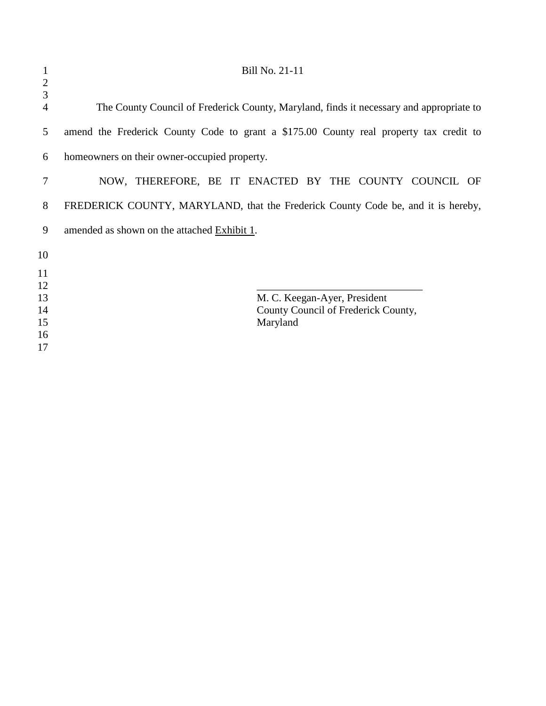| 1        | Bill No. 21-11                                                                          |
|----------|-----------------------------------------------------------------------------------------|
| 2<br>3   |                                                                                         |
| 4        | The County Council of Frederick County, Maryland, finds it necessary and appropriate to |
| 5        | amend the Frederick County Code to grant a \$175.00 County real property tax credit to  |
| 6        | homeowners on their owner-occupied property.                                            |
| 7        | NOW, THEREFORE, BE IT ENACTED BY THE COUNTY COUNCIL OF                                  |
| 8        | FREDERICK COUNTY, MARYLAND, that the Frederick County Code be, and it is hereby,        |
| 9        | amended as shown on the attached Exhibit 1.                                             |
| 10       |                                                                                         |
| 11       |                                                                                         |
| 12       |                                                                                         |
| 13<br>14 | M. C. Keegan-Ayer, President<br>County Council of Frederick County,                     |
| 15       | Maryland                                                                                |
| 16       |                                                                                         |
| 17       |                                                                                         |